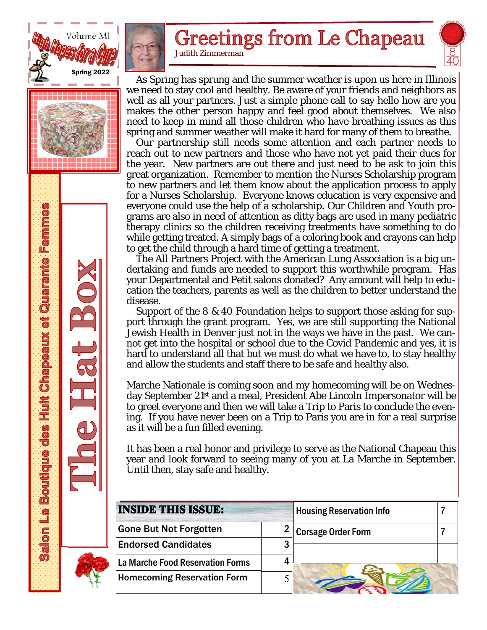





# **Greetings from Le Chapeau**

Judith Zimmerman

 As Spring has sprung and the summer weather is upon us here in Illinois we need to stay cool and healthy. Be aware of your friends and neighbors as well as all your partners. Just a simple phone call to say hello how are you makes the other person happy and feel good about themselves. We also need to keep in mind all those children who have breathing issues as this spring and summer weather will make it hard for many of them to breathe.

 Our partnership still needs some attention and each partner needs to reach out to new partners and those who have not yet paid their dues for the year. New partners are out there and just need to be ask to join this great organization. Remember to mention the Nurses Scholarship program to new partners and let them know about the application process to apply for a Nurses Scholarship. Everyone knows education is very expensive and everyone could use the help of a scholarship. Our Children and Youth programs are also in need of attention as ditty bags are used in many pediatric therapy clinics so the children receiving treatments have something to do while getting treated. A simply bags of a coloring book and crayons can help to get the child through a hard time of getting a treatment.

 The All Partners Project with the American Lung Association is a big undertaking and funds are needed to support this worthwhile program. Has your Departmental and Petit salons donated? Any amount will help to education the teachers, parents as well as the children to better understand the disease.

 Support of the 8 & 40 Foundation helps to support those asking for support through the grant program. Yes, we are still supporting the National Jewish Health in Denver just not in the ways we have in the past. We cannot get into the hospital or school due to the Covid Pandemic and yes, it is hard to understand all that but we must do what we have to, to stay healthy and allow the students and staff there to be safe and healthy also.

Marche Nationale is coming soon and my homecoming will be on Wednesday September 21st and a meal, President Abe Lincoln Impersonator will be to greet everyone and then we will take a Trip to Paris to conclude the evening. If you have never been on a Trip to Paris you are in for a real surprise as it will be a fun filled evening.

It has been a real honor and privilege to serve as the National Chapeau this year and look forward to seeing many of you at La Marche in September. Until then, stay safe and healthy.

| <b>INSIDE THIS ISSUE:</b>          |    | <b>Housing Reservation Info</b> |  |
|------------------------------------|----|---------------------------------|--|
| <b>Gone But Not Forgotten</b>      |    | <b>Corsage Order Form</b>       |  |
| <b>Endorsed Candidates</b>         | כי |                                 |  |
| La Marche Food Reservation Forms   |    |                                 |  |
| <b>Homecoming Reservation Form</b> |    |                                 |  |

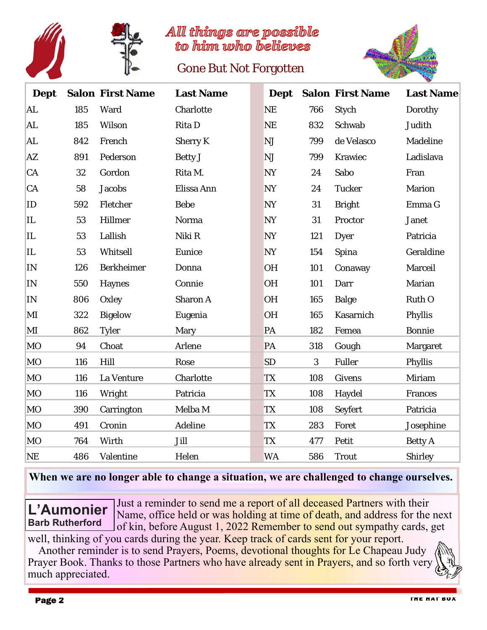

All things are possible to him who believes

## Gone But Not Forgotten



| <b>Dept</b> |     | <b>Salon First Name</b> | <b>Last Name</b> |           |     | <b>Dept</b> Salon First Name | <b>Last Name</b> |
|-------------|-----|-------------------------|------------------|-----------|-----|------------------------------|------------------|
| AL          | 185 | Ward                    | Charlotte        | <b>NE</b> | 766 | Stych                        | Dorothy          |
| AL          | 185 | Wilson                  | Rita D           | <b>NE</b> | 832 | Schwab                       | Judith           |
| AL          | 842 | French                  | <b>Sherry K</b>  | <b>NJ</b> | 799 | de Velasco                   | Madeline         |
| AZ          | 891 | Pederson                | <b>Betty J</b>   | <b>NJ</b> | 799 | Krawiec                      | Ladislava        |
| CA          | 32  | Gordon                  | Rita M.          | <b>NY</b> | 24  | Sabo                         | Fran             |
| CA          | 58  | <b>Jacobs</b>           | Elissa Ann       | <b>NY</b> | 24  | <b>Tucker</b>                | <b>Marion</b>    |
| ID          | 592 | Fletcher                | <b>Bebe</b>      | <b>NY</b> | 31  | <b>Bright</b>                | Emma G           |
| IL          | 53  | Hillmer                 | Norma            | <b>NY</b> | 31  | Proctor                      | <b>Janet</b>     |
| IL          | 53  | Lallish                 | Niki R           | <b>NY</b> | 121 | Dyer                         | Patricia         |
| IL          | 53  | Whitsell                | Eunice           | <b>NY</b> | 154 | Spina                        | Geraldine        |
| IN          | 126 | <b>Berkheimer</b>       | Donna            | <b>OH</b> | 101 | Conaway                      | Marceil          |
| IN          | 550 | Haynes                  | Connie           | <b>OH</b> | 101 | Darr                         | Marian           |
| IN          | 806 | Oxley                   | <b>Sharon A</b>  | <b>OH</b> | 165 | <b>Balge</b>                 | Ruth O           |
| MI          | 322 | <b>Bigelow</b>          | Eugenia          | <b>OH</b> | 165 | Kasarnich                    | Phyllis          |
| MI          | 862 | <b>Tyler</b>            | Mary             | PA        | 182 | Femea                        | <b>Bonnie</b>    |
| MO          | 94  | Choat                   | Arlene           | PA        | 318 | Gough                        | <b>Margaret</b>  |
| MO          | 116 | Hill                    | Rose             | <b>SD</b> | 3   | <b>Fuller</b>                | Phyllis          |
| MO          | 116 | La Venture              | Charlotte        | <b>TX</b> | 108 | <b>Givens</b>                | Miriam           |
| MO          | 116 | Wright                  | Patricia         | <b>TX</b> | 108 | Haydel                       | Frances          |
| <b>MO</b>   | 390 | Carrington              | Melba M          | <b>TX</b> | 108 | Seyfert                      | Patricia         |
| MO          | 491 | Cronin                  | Adeline          | <b>TX</b> | 283 | Foret                        | Josephine        |
| <b>MO</b>   | 764 | Wirth                   | Jill             | <b>TX</b> | 477 | Petit                        | <b>Betty A</b>   |
| <b>NE</b>   | 486 | Valentine               | Helen            | <b>WA</b> | 586 | <b>Trout</b>                 | <b>Shirley</b>   |

#### **When we are no longer able to change a situation, we are challenged to change ourselves.**

Just a reminder to send me a report of all deceased Partners with their Name, office held or was holding at time of death, and address for the next of kin, before August 1, 2022 Remember to send out sympathy cards, get well, thinking of you cards during the year. Keep track of cards sent for your report. **L'Aumonier Barb Rutherford** 

 Another reminder is to send Prayers, Poems, devotional thoughts for Le Chapeau Judy Prayer Book. Thanks to those Partners who have already sent in Prayers, and so forth very much appreciated.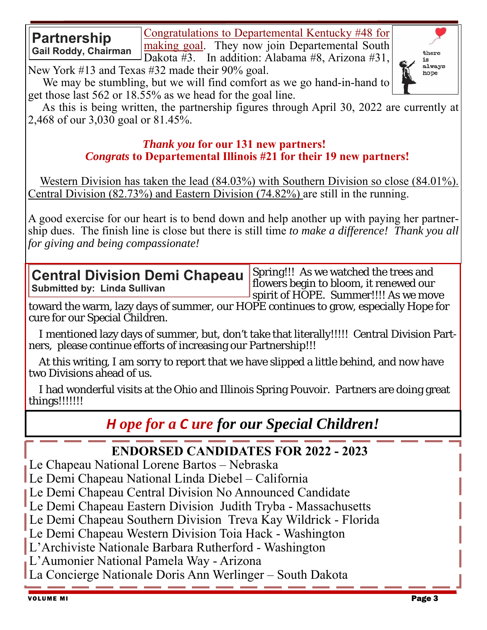Congratulations to Departemental Kentucky #48 for making goal. They now join Departemental South

Dakota #3. In addition: Alabama #8, Arizona #31,

New York #13 and Texas #32 made their 90% goal.

**Partnership** 

**Gail Roddy, Chairman** 

 We may be stumbling, but we will find comfort as we go hand-in-hand to get those last 562 or 18.55% as we head for the goal line.

 As this is being written, the partnership figures through April 30, 2022 are currently at 2,468 of our 3,030 goal or 81.45%.

#### *Thank you* **for our 131 new partners!**   *Congrats* **to Departemental Illinois #21 for their 19 new partners!**

 Western Division has taken the lead (84.03%) with Southern Division so close (84.01%). Central Division (82.73%) and Eastern Division (74.82%) are still in the running.

A good exercise for our heart is to bend down and help another up with paying her partnership dues. The finish line is close but there is still time *to make a difference! Thank you all for giving and being compassionate!* 

**Central Division Demi Chapeau Submitted by: Linda Sullivan** 

Spring!!! As we watched the trees and flowers begin to bloom, it renewed our spirit of HOPE. Summer!!!! As we move

toward the warm, lazy days of summer, our HOPE continues to grow, especially Hope for cure for our Special Children.

 I mentioned lazy days of summer, but, don't take that literally!!!!! Central Division Partners, please continue efforts of increasing our Partnership!!!

 At this writing, I am sorry to report that we have slipped a little behind, and now have two Divisions ahead of us.

 I had wonderful visits at the Ohio and Illinois Spring Pouvoir. Partners are doing great things!!!!!!!

# *H ope for a C ure for our Special Children!*

# **ENDORSED CANDIDATES FOR 2022 - 2023**

Le Chapeau National Lorene Bartos – Nebraska

Le Demi Chapeau National Linda Diebel – California

Le Demi Chapeau Central Division No Announced Candidate

Le Demi Chapeau Eastern Division Judith Tryba - Massachusetts

Le Demi Chapeau Southern Division Treva Kay Wildrick - Florida

Le Demi Chapeau Western Division Toia Hack - Washington

L'Archiviste Nationale Barbara Rutherford - Washington

L'Aumonier National Pamela Way - Arizona

La Concierge Nationale Doris Ann Werlinger – South Dakota

there is always hope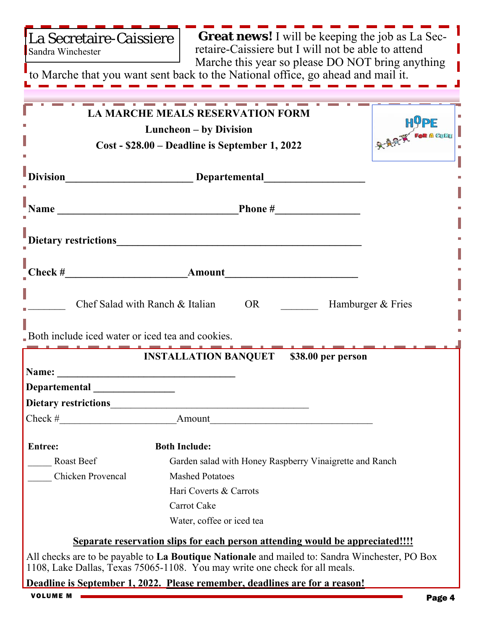| La Secretaire-Caissiere |
|-------------------------|
| Sandra Winchester       |

 **Great news!** I will be keeping the job as La Secretaire-Caissiere but I will not be able to attend Marche this year so please DO NOT bring anything

to Marche that you want sent back to the National office, go ahead and mail it.

|                                                   | <b>LA MARCHE MEALS RESERVATION FORM</b>                                                        |                   |  |
|---------------------------------------------------|------------------------------------------------------------------------------------------------|-------------------|--|
|                                                   | Luncheon – by Division                                                                         | <b>HUPE</b>       |  |
|                                                   | $Cost - $28.00 - Deadline is September 1,2022$                                                 | RARK FOR A CULTER |  |
|                                                   |                                                                                                |                   |  |
|                                                   |                                                                                                |                   |  |
|                                                   |                                                                                                |                   |  |
|                                                   | Dietary restrictions<br><u>Dietary restrictions</u>                                            |                   |  |
|                                                   |                                                                                                |                   |  |
|                                                   | Chef Salad with Ranch & Italian<br>OR                                                          | Hamburger & Fries |  |
| Both include iced water or iced tea and cookies.  |                                                                                                |                   |  |
|                                                   | <b>INSTALLATION BANQUET</b> \$38.00 per person                                                 |                   |  |
|                                                   |                                                                                                |                   |  |
| Departemental _______________                     |                                                                                                |                   |  |
|                                                   |                                                                                                |                   |  |
|                                                   | Check # Amount                                                                                 |                   |  |
| <b>Entree:</b><br><b>Example 13 Both Include:</b> |                                                                                                |                   |  |
| Roast Beef                                        | Garden salad with Honey Raspberry Vinaigrette and Ranch                                        |                   |  |
| Chicken Provencal                                 | <b>Mashed Potatoes</b>                                                                         |                   |  |
|                                                   | Hari Coverts & Carrots                                                                         |                   |  |
|                                                   | Carrot Cake                                                                                    |                   |  |
|                                                   | Water, coffee or iced tea                                                                      |                   |  |
|                                                   | Separate reservation slips for each person attending would be appreciated!!!!                  |                   |  |
|                                                   | All checks are to be payable to La Boutique Nationale and mailed to: Sandra Winchester, PO Box |                   |  |
|                                                   | 1108, Lake Dallas, Texas 75065-1108. You may write one check for all meals.                    |                   |  |
|                                                   | Deadline is September 1, 2022. Please remember, deadlines are for a reason!                    |                   |  |
| <b>VOLUME M</b>                                   |                                                                                                | Page 4            |  |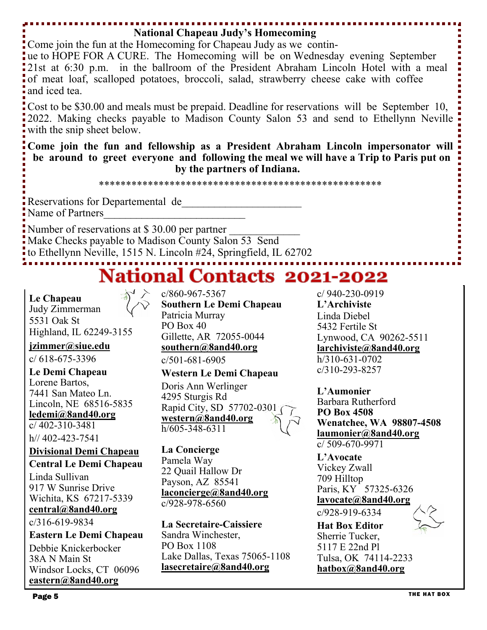#### **National Chapeau Judy's Homecoming**

Come join the fun at the Homecoming for Chapeau Judy as we contin-

ue to HOPE FOR A CURE. The Homecoming will be on Wednesday evening September 21st at 6:30 p.m. in the ballroom of the President Abraham Lincoln Hotel with a meal of meat loaf, scalloped potatoes, broccoli, salad, strawberry cheese cake with coffee and iced tea.

Cost to be \$30.00 and meals must be prepaid. Deadline for reservations will be September 10, 2022. Making checks payable to Madison County Salon 53 and send to Ethellynn Neville with the snip sheet below.

**Come join the fun and fellowship as a President Abraham Lincoln impersonator will be around to greet everyone and following the meal we will have a Trip to Paris put on by the partners of Indiana.** 

\*\*\*\*\*\*\*\*\*\*\*\*\*\*\*\*\*\*\*\*\*\*\*\*\*\*\*\*\*\*\*\*\*\*\*\*\*\*\*\*\*\*\*\*\*\*\*\*\*\*\*\*

Reservations for Departemental de

Name of Partners

Number of reservations at \$30.00 per partner

Make Checks payable to Madison County Salon 53 Send

to Ethellynn Neville, 1515 N. Lincoln #24, Springfield, IL 62702

# **National Contacts 2021-2022**

**Le Chapeau**  Judy Zimmerman 5531 Oak St Highland, IL 62249-3155

**jzimmer@siue.edu** 

c/ 618-675-3396

**Le Demi Chapeau**  Lorene Bartos, 7441 San Mateo Ln. Lincoln, NE 68516-5835 **ledemi@8and40.org**  c/ 402-310-3481

h// 402-423-7541

**Divisional Demi Chapeau** 

**Central Le Demi Chapeau** 

Linda Sullivan 917 W Sunrise Drive Wichita, KS 67217-5339 **central@8and40.org** 

c/316-619-9834

**Eastern Le Demi Chapeau**  Debbie Knickerbocker

38A N Main St Windsor Locks, CT 06096 **eastern@8and40.org** 

c/860-967-5367 **Southern Le Demi Chapeau**  Patricia Murray PO Box 40 Gillette, AR 72055-0044 **southern@8and40.org** 

c/501-681-6905

#### **Western Le Demi Chapeau**

Doris Ann Werlinger 4295 Sturgis Rd Rapid City, SD 57702-0301 **western@8and40.org**  h/605-348-6311

**La Concierge**  Pamela Way 22 Quail Hallow Dr Payson, AZ 85541 **laconcierge@8and40.org** c/928-978-6560

**La Secretaire-Caissiere**  Sandra Winchester, PO Box 1108 Lake Dallas, Texas 75065-1108 **lasecretaire@8and40.org** 

c/ 940-230-0919 **L'Archiviste**  Linda Diebel 5432 Fertile St Lynwood, CA 90262-5511 **larchiviste@8and40.org**  h/310-631-0702 c/310-293-8257

**L'Aumonier**  Barbara Rutherford **PO Box 4508 Wenatchee, WA 98807-4508 laumonier@8and40.org**  c/ 509-670-9971

**L'Avocate**  Vickey Zwall 709 Hilltop Paris, KY 57325-6326 **lavocate@8and40.org**  c/928-919-6334

**Hat Box Editor** 

Sherrie Tucker, 5117 E 22nd Pl Tulsa, OK 74114-2233 **hatbox@8and40.org**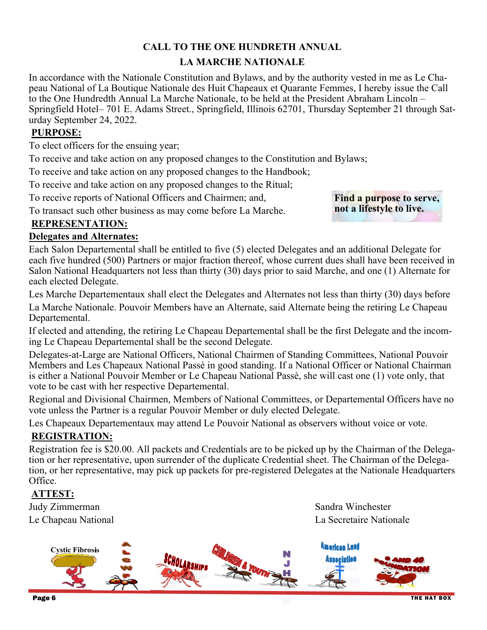#### **CALL TO THE ONE HUNDRETH ANNUAL LA MARCHE NATIONALE**

In accordance with the Nationale Constitution and Bylaws, and by the authority vested in me as Le Chapeau National of La Boutique Nationale des Huit Chapeaux et Quarante Femmes, I hereby issue the Call to the One Hundredth Annual La Marche Nationale, to be held at the President Abraham Lincoln – Springfield Hotel– 701 E. Adams Street., Springfield, Illinois 62701, Thursday September 21 through Saturday September 24, 2022.

#### **PURPOSE:**

To elect officers for the ensuing year;

To receive and take action on any proposed changes to the Constitution and Bylaws;

To receive and take action on any proposed changes to the Handbook;

To receive and take action on any proposed changes to the Ritual;

To receive reports of National Officers and Chairmen; and,

To transact such other business as may come before La Marche.

**Find a purpose to serve, not a lifestyle to live.** 

#### **REPRESENTATION:**

#### **Delegates and Alternates:**

Each Salon Departemental shall be entitled to five (5) elected Delegates and an additional Delegate for each five hundred (500) Partners or major fraction thereof, whose current dues shall have been received in Salon National Headquarters not less than thirty (30) days prior to said Marche, and one (1) Alternate for each elected Delegate.

Les Marche Departementaux shall elect the Delegates and Alternates not less than thirty (30) days before

La Marche Nationale. Pouvoir Members have an Alternate, said Alternate being the retiring Le Chapeau Departemental.

If elected and attending, the retiring Le Chapeau Departemental shall be the first Delegate and the incoming Le Chapeau Departemental shall be the second Delegate.

Delegates-at-Large are National Officers, National Chairmen of Standing Committees, National Pouvoir Members and Les Chapeaux National Passè in good standing. If a National Officer or National Chairman is either a National Pouvoir Member or Le Chapeau National Passè, she will cast one (1) vote only, that vote to be cast with her respective Departemental.

Regional and Divisional Chairmen, Members of National Committees, or Departemental Officers have no vote unless the Partner is a regular Pouvoir Member or duly elected Delegate.

Les Chapeaux Departementaux may attend Le Pouvoir National as observers without voice or vote.

#### **REGISTRATION:**

Registration fee is \$20.00. All packets and Credentials are to be picked up by the Chairman of the Delegation or her representative, upon surrender of the duplicate Credential sheet. The Chairman of the Delegation, or her representative, may pick up packets for pre-registered Delegates at the Nationale Headquarters Office.

#### **ATTEST:**

Judy Zimmerman Sandra Winchester

Le Chapeau National La Secretaire Nationale

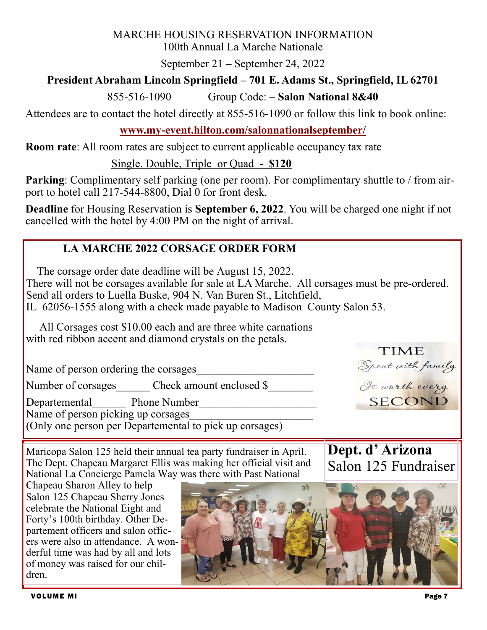#### MARCHE HOUSING RESERVATION INFORMATION

100th Annual La Marche Nationale

September 21 – September 24, 2022

### **President Abraham Lincoln Springfield – 701 E. Adams St., Springfield, IL 62701**

855-516-1090 Group Code: – **Salon National 8&40**

Attendees are to contact the hotel directly at 855-516-1090 or follow this link to book online:

### **www.my-event.hilton.com/salonnationalseptember/**

**Room rate**: All room rates are subject to current applicable occupancy tax rate

Single, Double, Triple or Quad - **\$120**

**Parking:** Complimentary self parking (one per room). For complimentary shuttle to / from airport to hotel call 217-544-8800, Dial 0 for front desk.

**Deadline** for Housing Reservation is **September 6, 2022**. You will be charged one night if not cancelled with the hotel by 4:00 PM on the night of arrival.

## **LA MARCHE 2022 CORSAGE ORDER FORM**

The corsage order date deadline will be August 15, 2022.

There will not be corsages available for sale at LA Marche. All corsages must be pre-ordered. Send all orders to Luella Buske, 904 N. Van Buren St., Litchfield, IL 62056‐1555 along with a check made payable to Madison County Salon 53.

 All Corsages cost \$10.00 each and are three white carnations with red ribbon accent and diamond crystals on the petals.

Name of person ordering the corsages

Number of corsages Check amount enclosed \$

Departemental Phone Number Name of person picking up corsages

(Only one person per Departemental to pick up corsages)

Spent with family SECOND

**TIME** 

**Dept. d' Arizona** 

Salon 125 Fundraiser

Maricopa Salon 125 held their annual tea party fundraiser in April. The Dept. Chapeau Margaret Ellis was making her official visit and National La Concierge Pamela Way was there with Past National

Chapeau Sharon Alley to help Salon 125 Chapeau Sherry Jones celebrate the National Eight and Forty's 100th birthday. Other Departement officers and salon officers were also in attendance. A wonderful time was had by all and lots of money was raised for our children.